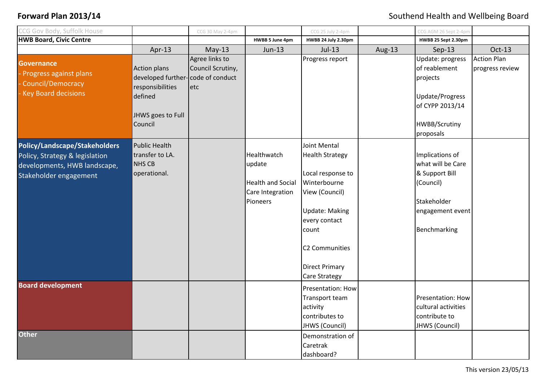| CG Gov Body, Suffolk House                                                                                                |                                                                                                                         | CCG 30 May 2-4pm                           |                                                                                   | CCG 25 July 2-4pm                                                                                                                                                                                                   |        | CCG AGM 26 Sept 2-4pm                                                                                                    |                                       |
|---------------------------------------------------------------------------------------------------------------------------|-------------------------------------------------------------------------------------------------------------------------|--------------------------------------------|-----------------------------------------------------------------------------------|---------------------------------------------------------------------------------------------------------------------------------------------------------------------------------------------------------------------|--------|--------------------------------------------------------------------------------------------------------------------------|---------------------------------------|
| <b>HWB Board, Civic Centre</b>                                                                                            |                                                                                                                         |                                            | HWBB 5 June 4pm                                                                   | HWBB 24 July 2.30pm                                                                                                                                                                                                 |        | HWBB 25 Sept 2.30pm                                                                                                      |                                       |
|                                                                                                                           | Apr-13                                                                                                                  | $May-13$                                   | Jun-13                                                                            | $Jul-13$                                                                                                                                                                                                            | Aug-13 | $Sep-13$                                                                                                                 | Oct-13                                |
| <b>Governance</b><br>Progress against plans<br>Council/Democracy<br><b>Key Board decisions</b>                            | <b>Action plans</b><br>developed further-code of conduct<br>responsibilities<br>defined<br>JHWS goes to Full<br>Council | Agree links to<br>Council Scrutiny,<br>etc |                                                                                   | Progress report                                                                                                                                                                                                     |        | Update: progress<br>of reablement<br>projects<br>Update/Progress<br>of CYPP 2013/14<br><b>HWBB/Scrutiny</b><br>proposals | <b>Action Plan</b><br>progress review |
| Policy/Landscape/Stakeholders<br>Policy, Strategy & legislation<br>developments, HWB landscape,<br>Stakeholder engagement | <b>Public Health</b><br>transfer to LA.<br><b>NHS CB</b><br>operational.                                                |                                            | Healthwatch<br>update<br><b>Health and Social</b><br>Care Integration<br>Pioneers | Joint Mental<br><b>Health Strategy</b><br>Local response to<br>Winterbourne<br>View (Council)<br><b>Update: Making</b><br>every contact<br>count<br>C2 Communities<br><b>Direct Primary</b><br><b>Care Strategy</b> |        | Implications of<br>what will be Care<br>& Support Bill<br>(Council)<br>Stakeholder<br>engagement event<br>Benchmarking   |                                       |
| <b>Board development</b>                                                                                                  |                                                                                                                         |                                            |                                                                                   | Presentation: How<br>Transport team<br>activity<br>contributes to<br>JHWS (Council)                                                                                                                                 |        | Presentation: How<br>cultural activities<br>contribute to<br>JHWS (Council)                                              |                                       |
| <b>Other</b>                                                                                                              |                                                                                                                         |                                            |                                                                                   | Demonstration of<br>Caretrak<br>dashboard?                                                                                                                                                                          |        |                                                                                                                          |                                       |